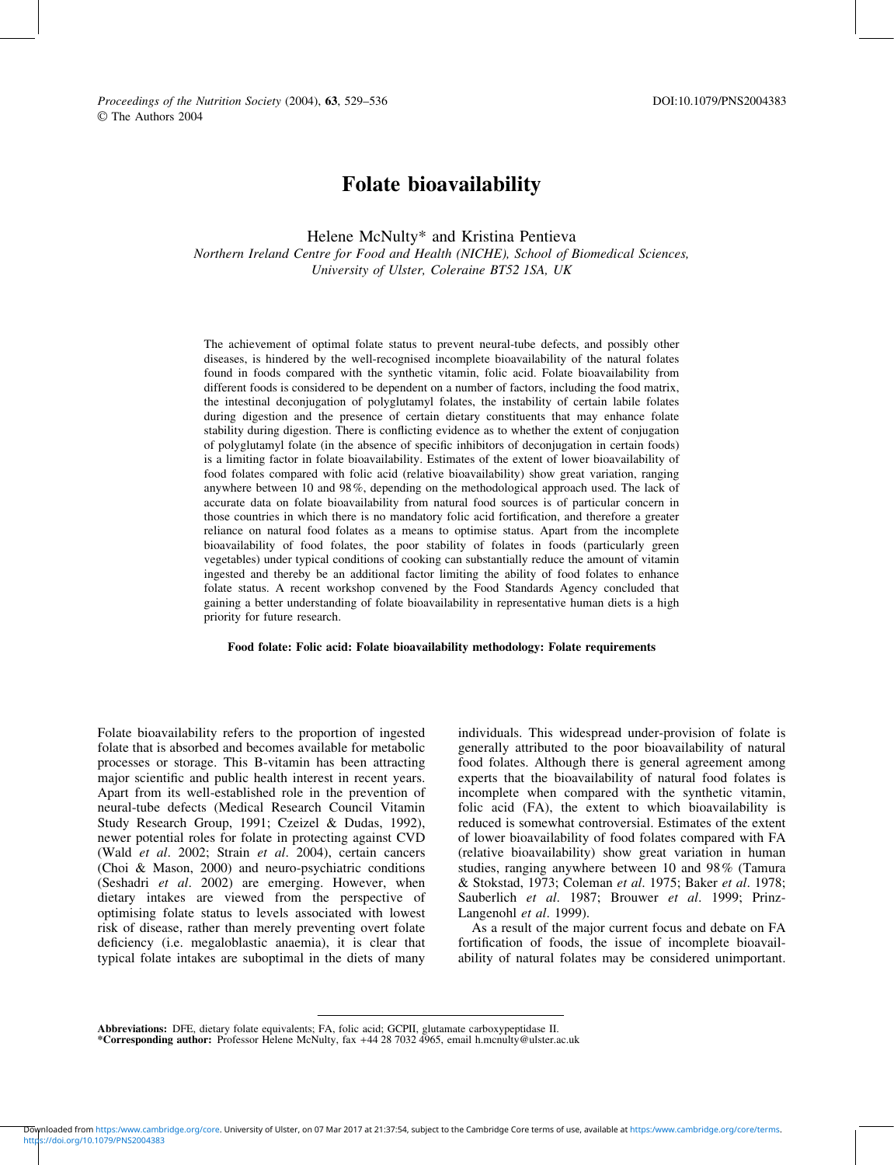# Folate bioavailability

# Helene McNulty\* and Kristina Pentieva

Northern Ireland Centre for Food and Health (NICHE), School of Biomedical Sciences, University of Ulster, Coleraine BT52 1SA, UK

The achievement of optimal folate status to prevent neural-tube defects, and possibly other diseases, is hindered by the well-recognised incomplete bioavailability of the natural folates found in foods compared with the synthetic vitamin, folic acid. Folate bioavailability from different foods is considered to be dependent on a number of factors, including the food matrix, the intestinal deconjugation of polyglutamyl folates, the instability of certain labile folates during digestion and the presence of certain dietary constituents that may enhance folate stability during digestion. There is conflicting evidence as to whether the extent of conjugation of polyglutamyl folate (in the absence of specific inhibitors of deconjugation in certain foods) is a limiting factor in folate bioavailability. Estimates of the extent of lower bioavailability of food folates compared with folic acid (relative bioavailability) show great variation, ranging anywhere between 10 and 98%, depending on the methodological approach used. The lack of accurate data on folate bioavailability from natural food sources is of particular concern in those countries in which there is no mandatory folic acid fortification, and therefore a greater reliance on natural food folates as a means to optimise status. Apart from the incomplete bioavailability of food folates, the poor stability of folates in foods (particularly green vegetables) under typical conditions of cooking can substantially reduce the amount of vitamin ingested and thereby be an additional factor limiting the ability of food folates to enhance folate status. A recent workshop convened by the Food Standards Agency concluded that gaining a better understanding of folate bioavailability in representative human diets is a high priority for future research.

#### Food folate: Folic acid: Folate bioavailability methodology: Folate requirements

Folate bioavailability refers to the proportion of ingested folate that is absorbed and becomes available for metabolic processes or storage. This B-vitamin has been attracting major scientific and public health interest in recent years. Apart from its well-established role in the prevention of neural-tube defects (Medical Research Council Vitamin Study Research Group, 1991; Czeizel & Dudas, 1992), newer potential roles for folate in protecting against CVD (Wald et al. 2002; Strain et al. 2004), certain cancers (Choi & Mason, 2000) and neuro-psychiatric conditions (Seshadri et al. 2002) are emerging. However, when dietary intakes are viewed from the perspective of optimising folate status to levels associated with lowest risk of disease, rather than merely preventing overt folate deficiency (i.e. megaloblastic anaemia), it is clear that typical folate intakes are suboptimal in the diets of many

individuals. This widespread under-provision of folate is generally attributed to the poor bioavailability of natural food folates. Although there is general agreement among experts that the bioavailability of natural food folates is incomplete when compared with the synthetic vitamin, folic acid (FA), the extent to which bioavailability is reduced is somewhat controversial. Estimates of the extent of lower bioavailability of food folates compared with FA (relative bioavailability) show great variation in human studies, ranging anywhere between 10 and 98% (Tamura & Stokstad, 1973; Coleman et al. 1975; Baker et al. 1978; Sauberlich et al. 1987; Brouwer et al. 1999; Prinz-Langenohl et al. 1999).

As a result of the major current focus and debate on FA fortification of foods, the issue of incomplete bioavailability of natural folates may be considered unimportant.

Abbreviations: DFE, dietary folate equivalents; FA, folic acid; GCPII, glutamate carboxypeptidase II.

<sup>\*</sup>Corresponding author: Professor Helene McNulty, fax +44 28 7032 4965, email h.mcnulty@ulster.ac.uk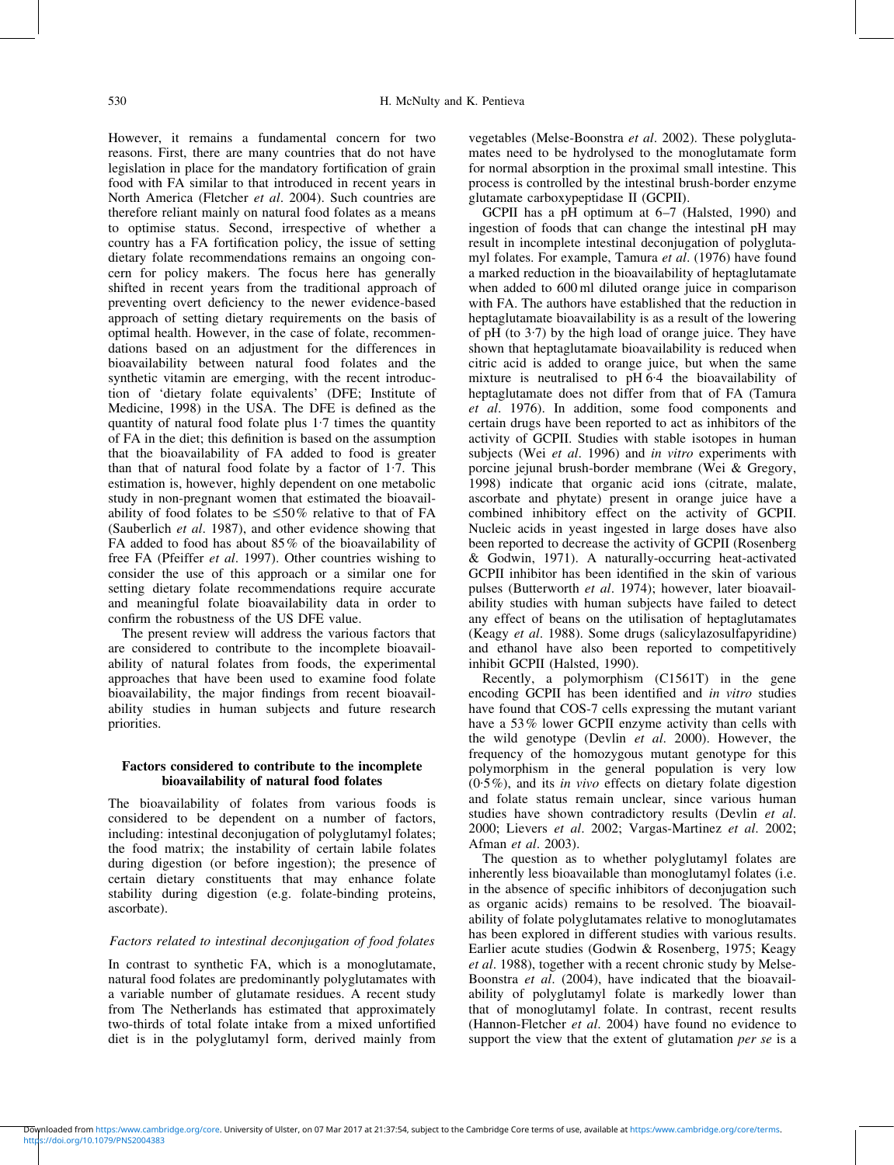However, it remains a fundamental concern for two reasons. First, there are many countries that do not have legislation in place for the mandatory fortification of grain food with FA similar to that introduced in recent years in North America (Fletcher et al. 2004). Such countries are therefore reliant mainly on natural food folates as a means to optimise status. Second, irrespective of whether a country has a FA fortification policy, the issue of setting dietary folate recommendations remains an ongoing concern for policy makers. The focus here has generally shifted in recent years from the traditional approach of preventing overt deficiency to the newer evidence-based approach of setting dietary requirements on the basis of optimal health. However, in the case of folate, recommendations based on an adjustment for the differences in bioavailability between natural food folates and the synthetic vitamin are emerging, with the recent introduction of 'dietary folate equivalents' (DFE; Institute of Medicine, 1998) in the USA. The DFE is defined as the quantity of natural food folate plus 1. 7 times the quantity of FA in the diet; this definition is based on the assumption that the bioavailability of FA added to food is greater than that of natural food folate by a factor of  $1.7$ . This estimation is, however, highly dependent on one metabolic study in non-pregnant women that estimated the bioavailability of food folates to be  $\leq 50\%$  relative to that of FA (Sauberlich et al. 1987), and other evidence showing that FA added to food has about 85% of the bioavailability of free FA (Pfeiffer et al. 1997). Other countries wishing to consider the use of this approach or a similar one for setting dietary folate recommendations require accurate and meaningful folate bioavailability data in order to confirm the robustness of the US DFE value.

The present review will address the various factors that are considered to contribute to the incomplete bioavailability of natural folates from foods, the experimental approaches that have been used to examine food folate bioavailability, the major findings from recent bioavailability studies in human subjects and future research priorities.

# Factors considered to contribute to the incomplete bioavailability of natural food folates

The bioavailability of folates from various foods is considered to be dependent on a number of factors, including: intestinal deconjugation of polyglutamyl folates; the food matrix; the instability of certain labile folates during digestion (or before ingestion); the presence of certain dietary constituents that may enhance folate stability during digestion (e.g. folate-binding proteins, ascorbate).

# Factors related to intestinal deconjugation of food folates

In contrast to synthetic FA, which is a monoglutamate, natural food folates are predominantly polyglutamates with a variable number of glutamate residues. A recent study from The Netherlands has estimated that approximately two-thirds of total folate intake from a mixed unfortified diet is in the polyglutamyl form, derived mainly from

vegetables (Melse-Boonstra et al. 2002). These polyglutamates need to be hydrolysed to the monoglutamate form for normal absorption in the proximal small intestine. This process is controlled by the intestinal brush-border enzyme glutamate carboxypeptidase II (GCPII).

GCPII has a pH optimum at 6–7 (Halsted, 1990) and ingestion of foods that can change the intestinal pH may result in incomplete intestinal deconjugation of polyglutamyl folates. For example, Tamura et al. (1976) have found a marked reduction in the bioavailability of heptaglutamate when added to 600 ml diluted orange juice in comparison with FA. The authors have established that the reduction in heptaglutamate bioavailability is as a result of the lowering of  $\overrightarrow{pH}$  (to 3.7) by the high load of orange juice. They have shown that heptaglutamate bioavailability is reduced when citric acid is added to orange juice, but when the same mixture is neutralised to pH 6. 4 the bioavailability of heptaglutamate does not differ from that of FA (Tamura et al. 1976). In addition, some food components and certain drugs have been reported to act as inhibitors of the activity of GCPII. Studies with stable isotopes in human subjects (Wei et al. 1996) and in vitro experiments with porcine jejunal brush-border membrane (Wei & Gregory, 1998) indicate that organic acid ions (citrate, malate, ascorbate and phytate) present in orange juice have a combined inhibitory effect on the activity of GCPII. Nucleic acids in yeast ingested in large doses have also been reported to decrease the activity of GCPII (Rosenberg & Godwin, 1971). A naturally-occurring heat-activated GCPII inhibitor has been identified in the skin of various pulses (Butterworth et al. 1974); however, later bioavailability studies with human subjects have failed to detect any effect of beans on the utilisation of heptaglutamates (Keagy et al. 1988). Some drugs (salicylazosulfapyridine) and ethanol have also been reported to competitively inhibit GCPII (Halsted, 1990).

Recently, a polymorphism (C1561T) in the gene encoding GCPII has been identified and in vitro studies have found that COS-7 cells expressing the mutant variant have a 53% lower GCPII enzyme activity than cells with the wild genotype (Devlin et al. 2000). However, the frequency of the homozygous mutant genotype for this polymorphism in the general population is very low  $(0.5\%)$ , and its *in vivo* effects on dietary folate digestion and folate status remain unclear, since various human studies have shown contradictory results (Devlin et al. 2000; Lievers et al. 2002; Vargas-Martinez et al. 2002; Afman et al. 2003).

The question as to whether polyglutamyl folates are inherently less bioavailable than monoglutamyl folates (i.e. in the absence of specific inhibitors of deconjugation such as organic acids) remains to be resolved. The bioavailability of folate polyglutamates relative to monoglutamates has been explored in different studies with various results. Earlier acute studies (Godwin & Rosenberg, 1975; Keagy et al. 1988), together with a recent chronic study by Melse-Boonstra et al. (2004), have indicated that the bioavailability of polyglutamyl folate is markedly lower than that of monoglutamyl folate. In contrast, recent results (Hannon-Fletcher et al. 2004) have found no evidence to support the view that the extent of glutamation *per se* is a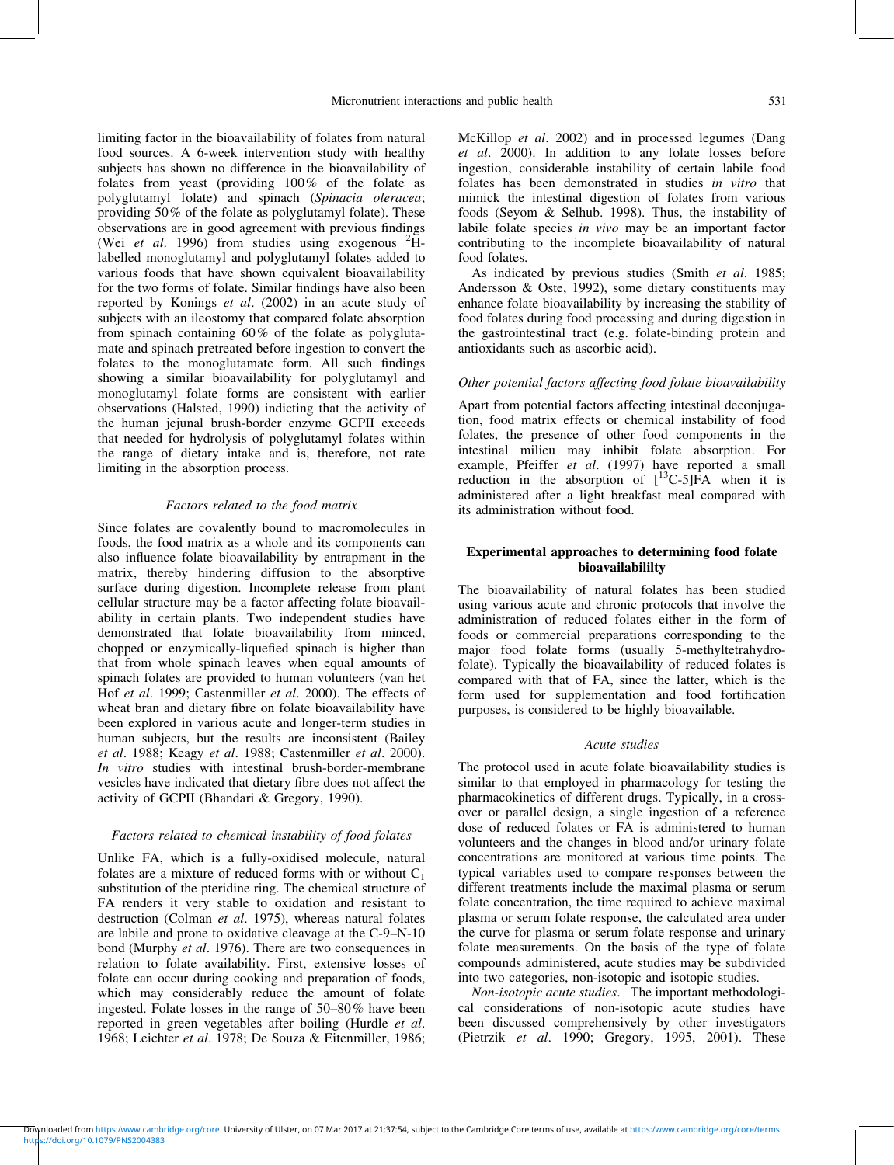limiting factor in the bioavailability of folates from natural food sources. A 6-week intervention study with healthy subjects has shown no difference in the bioavailability of folates from yeast (providing 100% of the folate as polyglutamyl folate) and spinach (Spinacia oleracea; providing 50% of the folate as polyglutamyl folate). These observations are in good agreement with previous findings (Wei et al. 1996) from studies using exogenous  ${}^{2}$ Hlabelled monoglutamyl and polyglutamyl folates added to various foods that have shown equivalent bioavailability for the two forms of folate. Similar findings have also been reported by Konings et al. (2002) in an acute study of subjects with an ileostomy that compared folate absorption from spinach containing 60% of the folate as polyglutamate and spinach pretreated before ingestion to convert the folates to the monoglutamate form. All such findings showing a similar bioavailability for polyglutamyl and monoglutamyl folate forms are consistent with earlier observations (Halsted, 1990) indicting that the activity of the human jejunal brush-border enzyme GCPII exceeds that needed for hydrolysis of polyglutamyl folates within the range of dietary intake and is, therefore, not rate limiting in the absorption process.

### Factors related to the food matrix

Since folates are covalently bound to macromolecules in foods, the food matrix as a whole and its components can also influence folate bioavailability by entrapment in the matrix, thereby hindering diffusion to the absorptive surface during digestion. Incomplete release from plant cellular structure may be a factor affecting folate bioavailability in certain plants. Two independent studies have demonstrated that folate bioavailability from minced, chopped or enzymically-liquefied spinach is higher than that from whole spinach leaves when equal amounts of spinach folates are provided to human volunteers (van het Hof et al. 1999; Castenmiller et al. 2000). The effects of wheat bran and dietary fibre on folate bioavailability have been explored in various acute and longer-term studies in human subjects, but the results are inconsistent (Bailey et al. 1988; Keagy et al. 1988; Castenmiller et al. 2000). In vitro studies with intestinal brush-border-membrane vesicles have indicated that dietary fibre does not affect the activity of GCPII (Bhandari & Gregory, 1990).

### Factors related to chemical instability of food folates

Unlike FA, which is a fully-oxidised molecule, natural folates are a mixture of reduced forms with or without  $C_1$ substitution of the pteridine ring. The chemical structure of FA renders it very stable to oxidation and resistant to destruction (Colman et al. 1975), whereas natural folates are labile and prone to oxidative cleavage at the C-9–N-10 bond (Murphy et al. 1976). There are two consequences in relation to folate availability. First, extensive losses of folate can occur during cooking and preparation of foods, which may considerably reduce the amount of folate ingested. Folate losses in the range of 50–80% have been reported in green vegetables after boiling (Hurdle et al. 1968; Leichter et al. 1978; De Souza & Eitenmiller, 1986; McKillop et al. 2002) and in processed legumes (Dang et al. 2000). In addition to any folate losses before ingestion, considerable instability of certain labile food folates has been demonstrated in studies in vitro that mimick the intestinal digestion of folates from various foods (Seyom & Selhub. 1998). Thus, the instability of labile folate species in vivo may be an important factor contributing to the incomplete bioavailability of natural food folates.

As indicated by previous studies (Smith et al. 1985; Andersson & Oste, 1992), some dietary constituents may enhance folate bioavailability by increasing the stability of food folates during food processing and during digestion in the gastrointestinal tract (e.g. folate-binding protein and antioxidants such as ascorbic acid).

# Other potential factors affecting food folate bioavailability

Apart from potential factors affecting intestinal deconjugation, food matrix effects or chemical instability of food folates, the presence of other food components in the intestinal milieu may inhibit folate absorption. For example, Pfeiffer et al. (1997) have reported a small reduction in the absorption of  $[^{13}C-5]FA$  when it is administered after a light breakfast meal compared with its administration without food.

# Experimental approaches to determining food folate bioavailabililty

The bioavailability of natural folates has been studied using various acute and chronic protocols that involve the administration of reduced folates either in the form of foods or commercial preparations corresponding to the major food folate forms (usually 5-methyltetrahydrofolate). Typically the bioavailability of reduced folates is compared with that of FA, since the latter, which is the form used for supplementation and food fortification purposes, is considered to be highly bioavailable.

### Acute studies

The protocol used in acute folate bioavailability studies is similar to that employed in pharmacology for testing the pharmacokinetics of different drugs. Typically, in a crossover or parallel design, a single ingestion of a reference dose of reduced folates or FA is administered to human volunteers and the changes in blood and/or urinary folate concentrations are monitored at various time points. The typical variables used to compare responses between the different treatments include the maximal plasma or serum folate concentration, the time required to achieve maximal plasma or serum folate response, the calculated area under the curve for plasma or serum folate response and urinary folate measurements. On the basis of the type of folate compounds administered, acute studies may be subdivided into two categories, non-isotopic and isotopic studies.

Non-isotopic acute studies. The important methodological considerations of non-isotopic acute studies have been discussed comprehensively by other investigators (Pietrzik et al. 1990; Gregory, 1995, 2001). These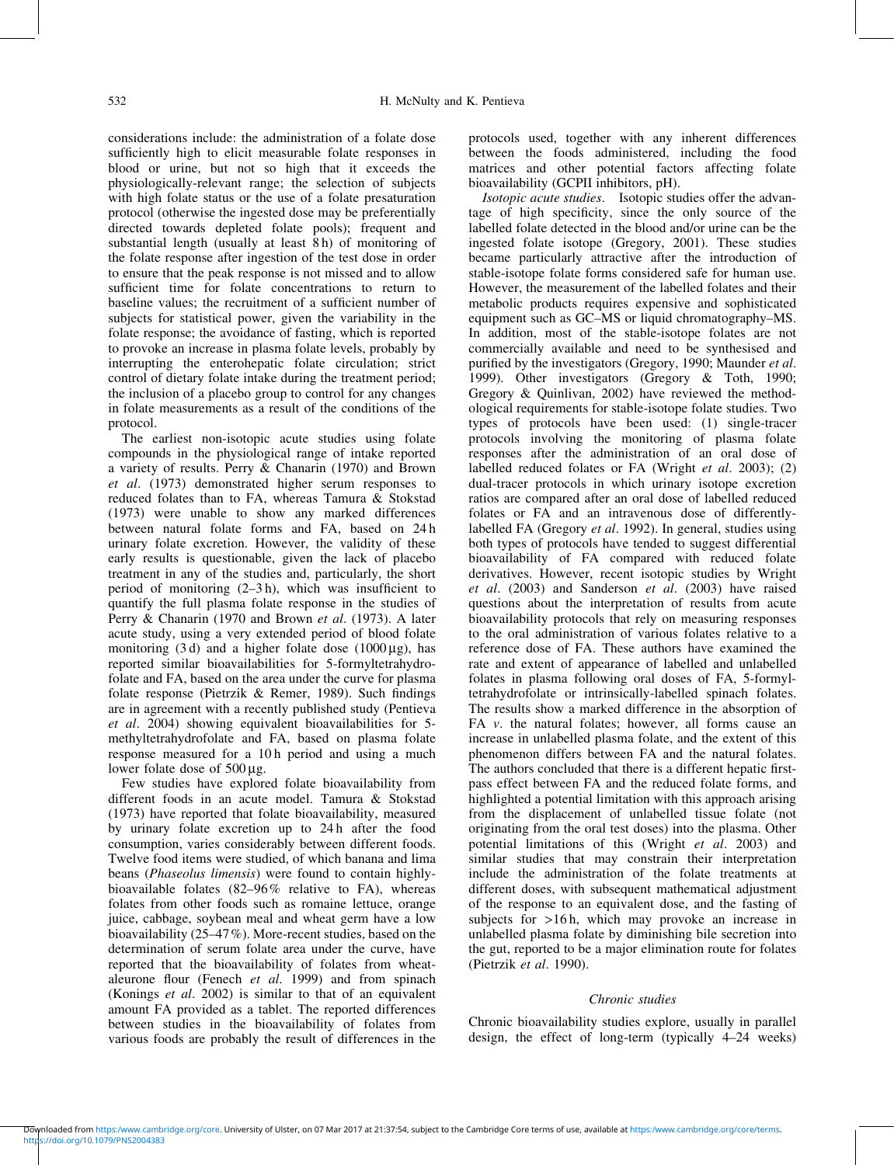considerations include: the administration of a folate dose sufficiently high to elicit measurable folate responses in blood or urine, but not so high that it exceeds the physiologically-relevant range; the selection of subjects with high folate status or the use of a folate presaturation protocol (otherwise the ingested dose may be preferentially directed towards depleted folate pools); frequent and substantial length (usually at least 8 h) of monitoring of the folate response after ingestion of the test dose in order to ensure that the peak response is not missed and to allow sufficient time for folate concentrations to return to baseline values; the recruitment of a sufficient number of subjects for statistical power, given the variability in the folate response; the avoidance of fasting, which is reported to provoke an increase in plasma folate levels, probably by interrupting the enterohepatic folate circulation; strict control of dietary folate intake during the treatment period; the inclusion of a placebo group to control for any changes in folate measurements as a result of the conditions of the protocol.

The earliest non-isotopic acute studies using folate compounds in the physiological range of intake reported a variety of results. Perry & Chanarin (1970) and Brown et al. (1973) demonstrated higher serum responses to reduced folates than to FA, whereas Tamura & Stokstad (1973) were unable to show any marked differences between natural folate forms and FA, based on 24 h urinary folate excretion. However, the validity of these early results is questionable, given the lack of placebo treatment in any of the studies and, particularly, the short period of monitoring  $(2-3 h)$ , which was insufficient to quantify the full plasma folate response in the studies of Perry & Chanarin (1970 and Brown et al. (1973). A later acute study, using a very extended period of blood folate monitoring (3 d) and a higher folate dose (1000  $\mu$ g), has reported similar bioavailabilities for 5-formyltetrahydrofolate and FA, based on the area under the curve for plasma folate response (Pietrzik & Remer, 1989). Such findings are in agreement with a recently published study (Pentieva et al. 2004) showing equivalent bioavailabilities for 5 methyltetrahydrofolate and FA, based on plasma folate response measured for a 10 h period and using a much lower folate dose of  $500 \mu$ g.

Few studies have explored folate bioavailability from different foods in an acute model. Tamura & Stokstad (1973) have reported that folate bioavailability, measured by urinary folate excretion up to 24h after the food consumption, varies considerably between different foods. Twelve food items were studied, of which banana and lima beans (Phaseolus limensis) were found to contain highlybioavailable folates (82–96% relative to FA), whereas folates from other foods such as romaine lettuce, orange juice, cabbage, soybean meal and wheat germ have a low bioavailability (25–47%). More-recent studies, based on the determination of serum folate area under the curve, have reported that the bioavailability of folates from wheataleurone flour (Fenech et al. 1999) and from spinach (Konings et al. 2002) is similar to that of an equivalent amount FA provided as a tablet. The reported differences between studies in the bioavailability of folates from various foods are probably the result of differences in the

protocols used, together with any inherent differences between the foods administered, including the food matrices and other potential factors affecting folate bioavailability (GCPII inhibitors, pH).

Isotopic acute studies. Isotopic studies offer the advantage of high specificity, since the only source of the labelled folate detected in the blood and/or urine can be the ingested folate isotope (Gregory, 2001). These studies became particularly attractive after the introduction of stable-isotope folate forms considered safe for human use. However, the measurement of the labelled folates and their metabolic products requires expensive and sophisticated equipment such as GC–MS or liquid chromatography–MS. In addition, most of the stable-isotope folates are not commercially available and need to be synthesised and purified by the investigators (Gregory, 1990; Maunder et al. 1999). Other investigators (Gregory & Toth, 1990; Gregory & Quinlivan, 2002) have reviewed the methodological requirements for stable-isotope folate studies. Two types of protocols have been used: (1) single-tracer protocols involving the monitoring of plasma folate responses after the administration of an oral dose of labelled reduced folates or FA (Wright et al. 2003); (2) dual-tracer protocols in which urinary isotope excretion ratios are compared after an oral dose of labelled reduced folates or FA and an intravenous dose of differentlylabelled FA (Gregory et al. 1992). In general, studies using both types of protocols have tended to suggest differential bioavailability of FA compared with reduced folate derivatives. However, recent isotopic studies by Wright et al. (2003) and Sanderson et al. (2003) have raised questions about the interpretation of results from acute bioavailability protocols that rely on measuring responses to the oral administration of various folates relative to a reference dose of FA. These authors have examined the rate and extent of appearance of labelled and unlabelled folates in plasma following oral doses of FA, 5-formyltetrahydrofolate or intrinsically-labelled spinach folates. The results show a marked difference in the absorption of FA  $v$ , the natural folates; however, all forms cause an increase in unlabelled plasma folate, and the extent of this phenomenon differs between FA and the natural folates. The authors concluded that there is a different hepatic firstpass effect between FA and the reduced folate forms, and highlighted a potential limitation with this approach arising from the displacement of unlabelled tissue folate (not originating from the oral test doses) into the plasma. Other potential limitations of this (Wright et al. 2003) and similar studies that may constrain their interpretation include the administration of the folate treatments at different doses, with subsequent mathematical adjustment of the response to an equivalent dose, and the fasting of subjects for  $>16$  h, which may provoke an increase in unlabelled plasma folate by diminishing bile secretion into the gut, reported to be a major elimination route for folates (Pietrzik et al. 1990).

### Chronic studies

Chronic bioavailability studies explore, usually in parallel design, the effect of long-term (typically 4–24 weeks)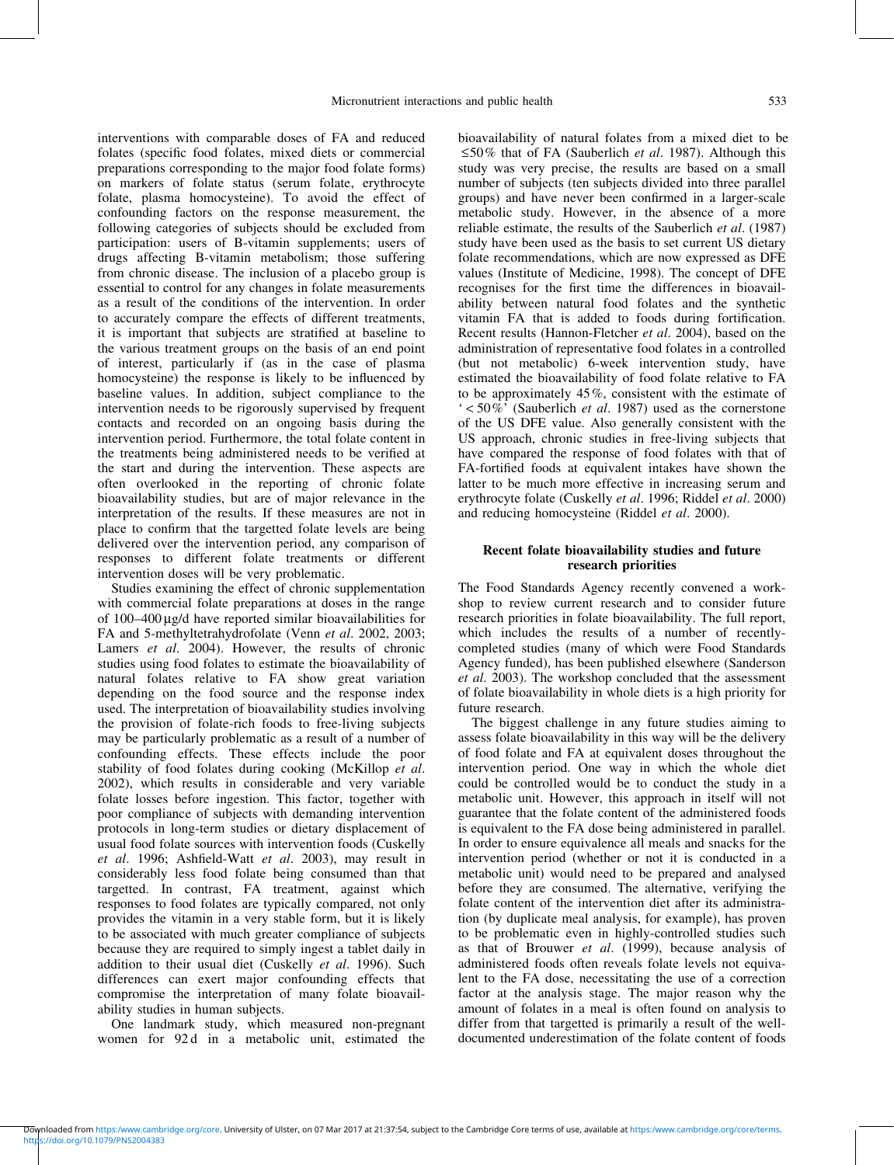interventions with comparable doses of FA and reduced folates (specific food folates, mixed diets or commercial preparations corresponding to the major food folate forms) on markers of folate status (serum folate, erythrocyte folate, plasma homocysteine). To avoid the effect of confounding factors on the response measurement, the following categories of subjects should be excluded from participation: users of B-vitamin supplements; users of drugs affecting B-vitamin metabolism; those suffering from chronic disease. The inclusion of a placebo group is essential to control for any changes in folate measurements as a result of the conditions of the intervention. In order to accurately compare the effects of different treatments, it is important that subjects are stratified at baseline to the various treatment groups on the basis of an end point of interest, particularly if (as in the case of plasma homocysteine) the response is likely to be influenced by baseline values. In addition, subject compliance to the intervention needs to be rigorously supervised by frequent contacts and recorded on an ongoing basis during the intervention period. Furthermore, the total folate content in the treatments being administered needs to be verified at the start and during the intervention. These aspects are often overlooked in the reporting of chronic folate bioavailability studies, but are of major relevance in the interpretation of the results. If these measures are not in place to confirm that the targetted folate levels are being delivered over the intervention period, any comparison of responses to different folate treatments or different intervention doses will be very problematic.

Studies examining the effect of chronic supplementation with commercial folate preparations at doses in the range of 100–400 mg/d have reported similar bioavailabilities for FA and 5-methyltetrahydrofolate (Venn et al. 2002, 2003; Lamers et al. 2004). However, the results of chronic studies using food folates to estimate the bioavailability of natural folates relative to FA show great variation depending on the food source and the response index used. The interpretation of bioavailability studies involving the provision of folate-rich foods to free-living subjects may be particularly problematic as a result of a number of confounding effects. These effects include the poor stability of food folates during cooking (McKillop et al. 2002), which results in considerable and very variable folate losses before ingestion. This factor, together with poor compliance of subjects with demanding intervention protocols in long-term studies or dietary displacement of usual food folate sources with intervention foods (Cuskelly et al. 1996; Ashfield-Watt et al. 2003), may result in considerably less food folate being consumed than that targetted. In contrast, FA treatment, against which responses to food folates are typically compared, not only provides the vitamin in a very stable form, but it is likely to be associated with much greater compliance of subjects because they are required to simply ingest a tablet daily in addition to their usual diet (Cuskelly et al. 1996). Such differences can exert major confounding effects that compromise the interpretation of many folate bioavailability studies in human subjects.

One landmark study, which measured non-pregnant women for 92 d in a metabolic unit, estimated the bioavailability of natural folates from a mixed diet to be  $\leq$ 50% that of FA (Sauberlich *et al.* 1987). Although this study was very precise, the results are based on a small number of subjects (ten subjects divided into three parallel groups) and have never been confirmed in a larger-scale metabolic study. However, in the absence of a more reliable estimate, the results of the Sauberlich et al. (1987) study have been used as the basis to set current US dietary folate recommendations, which are now expressed as DFE values (Institute of Medicine, 1998). The concept of DFE recognises for the first time the differences in bioavailability between natural food folates and the synthetic vitamin FA that is added to foods during fortification. Recent results (Hannon-Fletcher et al. 2004), based on the administration of representative food folates in a controlled (but not metabolic) 6-week intervention study, have estimated the bioavailability of food folate relative to FA to be approximately 45%, consistent with the estimate of  $\leq 50\%$ ' (Sauberlich *et al.* 1987) used as the cornerstone of the US DFE value. Also generally consistent with the US approach, chronic studies in free-living subjects that have compared the response of food folates with that of FA-fortified foods at equivalent intakes have shown the latter to be much more effective in increasing serum and erythrocyte folate (Cuskelly et al. 1996; Riddel et al. 2000) and reducing homocysteine (Riddel et al. 2000).

### Recent folate bioavailability studies and future research priorities

The Food Standards Agency recently convened a workshop to review current research and to consider future research priorities in folate bioavailability. The full report, which includes the results of a number of recentlycompleted studies (many of which were Food Standards Agency funded), has been published elsewhere (Sanderson et al. 2003). The workshop concluded that the assessment of folate bioavailability in whole diets is a high priority for future research.

The biggest challenge in any future studies aiming to assess folate bioavailability in this way will be the delivery of food folate and FA at equivalent doses throughout the intervention period. One way in which the whole diet could be controlled would be to conduct the study in a metabolic unit. However, this approach in itself will not guarantee that the folate content of the administered foods is equivalent to the FA dose being administered in parallel. In order to ensure equivalence all meals and snacks for the intervention period (whether or not it is conducted in a metabolic unit) would need to be prepared and analysed before they are consumed. The alternative, verifying the folate content of the intervention diet after its administration (by duplicate meal analysis, for example), has proven to be problematic even in highly-controlled studies such as that of Brouwer et al. (1999), because analysis of administered foods often reveals folate levels not equivalent to the FA dose, necessitating the use of a correction factor at the analysis stage. The major reason why the amount of folates in a meal is often found on analysis to differ from that targetted is primarily a result of the welldocumented underestimation of the folate content of foods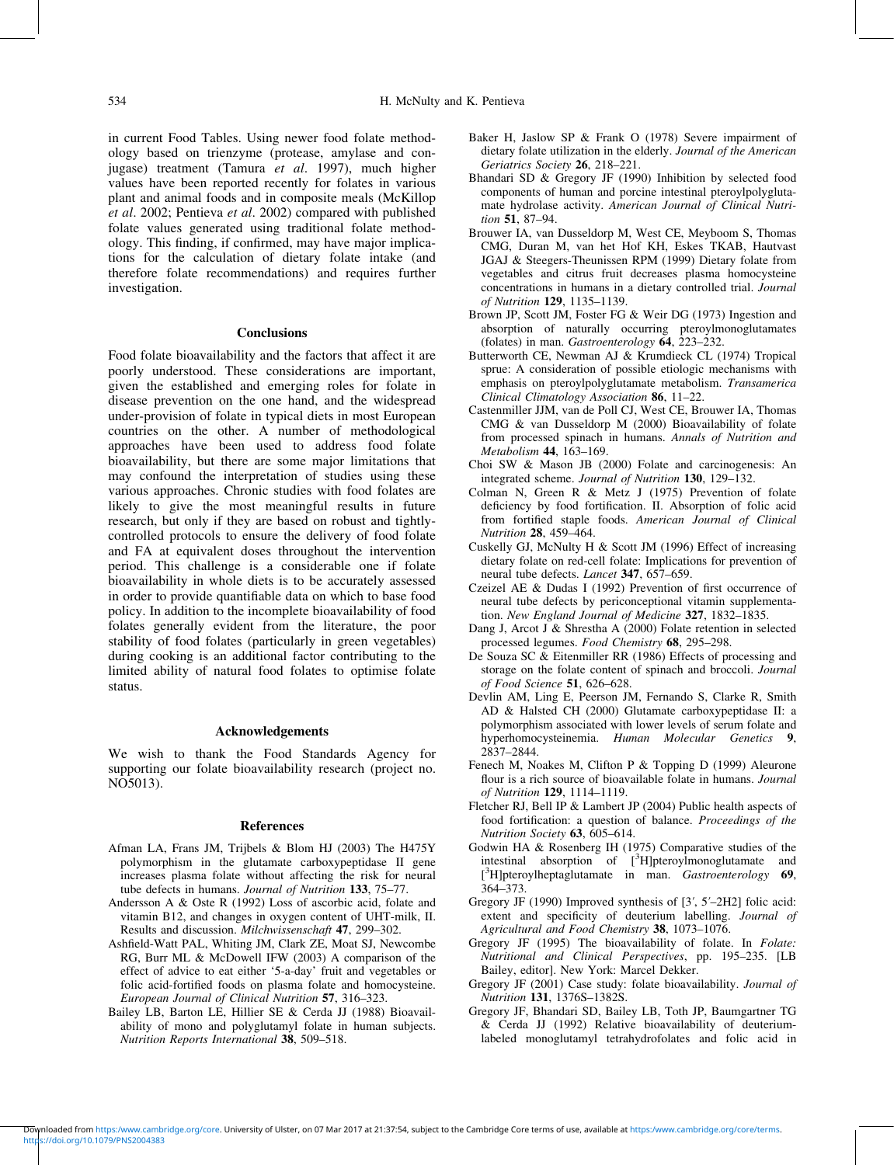in current Food Tables. Using newer food folate methodology based on trienzyme (protease, amylase and conjugase) treatment (Tamura et al. 1997), much higher values have been reported recently for folates in various plant and animal foods and in composite meals (McKillop et al. 2002; Pentieva et al. 2002) compared with published folate values generated using traditional folate methodology. This finding, if confirmed, may have major implications for the calculation of dietary folate intake (and therefore folate recommendations) and requires further investigation.

#### **Conclusions**

Food folate bioavailability and the factors that affect it are poorly understood. These considerations are important, given the established and emerging roles for folate in disease prevention on the one hand, and the widespread under-provision of folate in typical diets in most European countries on the other. A number of methodological approaches have been used to address food folate bioavailability, but there are some major limitations that may confound the interpretation of studies using these various approaches. Chronic studies with food folates are likely to give the most meaningful results in future research, but only if they are based on robust and tightlycontrolled protocols to ensure the delivery of food folate and FA at equivalent doses throughout the intervention period. This challenge is a considerable one if folate bioavailability in whole diets is to be accurately assessed in order to provide quantifiable data on which to base food policy. In addition to the incomplete bioavailability of food folates generally evident from the literature, the poor stability of food folates (particularly in green vegetables) during cooking is an additional factor contributing to the limited ability of natural food folates to optimise folate status.

#### Acknowledgements

We wish to thank the Food Standards Agency for supporting our folate bioavailability research (project no. NO5013).

#### References

- Afman LA, Frans JM, Trijbels & Blom HJ (2003) The H475Y polymorphism in the glutamate carboxypeptidase II gene increases plasma folate without affecting the risk for neural tube defects in humans. Journal of Nutrition 133, 75–77.
- Andersson A & Oste R (1992) Loss of ascorbic acid, folate and vitamin B12, and changes in oxygen content of UHT-milk, II. Results and discussion. Milchwissenschaft 47, 299–302.
- Ashfield-Watt PAL, Whiting JM, Clark ZE, Moat SJ, Newcombe RG, Burr ML & McDowell IFW (2003) A comparison of the effect of advice to eat either '5-a-day' fruit and vegetables or folic acid-fortified foods on plasma folate and homocysteine. European Journal of Clinical Nutrition 57, 316–323.
- Bailey LB, Barton LE, Hillier SE & Cerda JJ (1988) Bioavailability of mono and polyglutamyl folate in human subjects. Nutrition Reports International 38, 509–518.
- Baker H, Jaslow SP & Frank O (1978) Severe impairment of dietary folate utilization in the elderly. Journal of the American Geriatrics Society 26, 218–221.
- Bhandari SD & Gregory JF (1990) Inhibition by selected food components of human and porcine intestinal pteroylpolyglutamate hydrolase activity. American Journal of Clinical Nutrition 51, 87–94.
- Brouwer IA, van Dusseldorp M, West CE, Meyboom S, Thomas CMG, Duran M, van het Hof KH, Eskes TKAB, Hautvast JGAJ & Steegers-Theunissen RPM (1999) Dietary folate from vegetables and citrus fruit decreases plasma homocysteine concentrations in humans in a dietary controlled trial. Journal of Nutrition 129, 1135–1139.
- Brown JP, Scott JM, Foster FG & Weir DG (1973) Ingestion and absorption of naturally occurring pteroylmonoglutamates (folates) in man. Gastroenterology 64, 223–232.
- Butterworth CE, Newman AJ & Krumdieck CL (1974) Tropical sprue: A consideration of possible etiologic mechanisms with emphasis on pteroylpolyglutamate metabolism. Transamerica Clinical Climatology Association 86, 11–22.
- Castenmiller JJM, van de Poll CJ, West CE, Brouwer IA, Thomas CMG & van Dusseldorp M (2000) Bioavailability of folate from processed spinach in humans. Annals of Nutrition and Metabolism 44, 163–169.
- Choi SW & Mason JB (2000) Folate and carcinogenesis: An integrated scheme. Journal of Nutrition 130, 129–132.
- Colman N, Green R & Metz J (1975) Prevention of folate deficiency by food fortification. II. Absorption of folic acid from fortified staple foods. American Journal of Clinical Nutrition 28, 459–464.
- Cuskelly GJ, McNulty H & Scott JM (1996) Effect of increasing dietary folate on red-cell folate: Implications for prevention of neural tube defects. Lancet 347, 657-659.
- Czeizel AE & Dudas I (1992) Prevention of first occurrence of neural tube defects by periconceptional vitamin supplementation. New England Journal of Medicine 327, 1832-1835.
- Dang J, Arcot J & Shrestha A (2000) Folate retention in selected processed legumes. Food Chemistry 68, 295–298.
- De Souza SC & Eitenmiller RR (1986) Effects of processing and storage on the folate content of spinach and broccoli. Journal of Food Science 51, 626–628.
- Devlin AM, Ling E, Peerson JM, Fernando S, Clarke R, Smith AD & Halsted CH (2000) Glutamate carboxypeptidase II: a polymorphism associated with lower levels of serum folate and hyperhomocysteinemia. Human Molecular Genetics 9, 2837–2844.
- Fenech M, Noakes M, Clifton P & Topping D (1999) Aleurone flour is a rich source of bioavailable folate in humans. Journal of Nutrition 129, 1114–1119.
- Fletcher RJ, Bell IP & Lambert JP (2004) Public health aspects of food fortification: a question of balance. Proceedings of the Nutrition Society 63, 605–614.
- Godwin HA & Rosenberg IH (1975) Comparative studies of the intestinal absorption of [<sup>3</sup>H]pteroylmonoglutamate and  $[^3H]$ pteroylheptaglutamate in man. *Gastroenterology* 69, 364–373.
- Gregory JF (1990) Improved synthesis of  $[3, 5'-2H2]$  folic acid: extent and specificity of deuterium labelling. Journal of Agricultural and Food Chemistry 38, 1073–1076.
- Gregory JF (1995) The bioavailability of folate. In Folate: Nutritional and Clinical Perspectives, pp. 195–235. [LB Bailey, editor]. New York: Marcel Dekker.
- Gregory JF (2001) Case study: folate bioavailability. Journal of Nutrition 131, 1376S–1382S.
- Gregory JF, Bhandari SD, Bailey LB, Toth JP, Baumgartner TG & Cerda JJ (1992) Relative bioavailability of deuteriumlabeled monoglutamyl tetrahydrofolates and folic acid in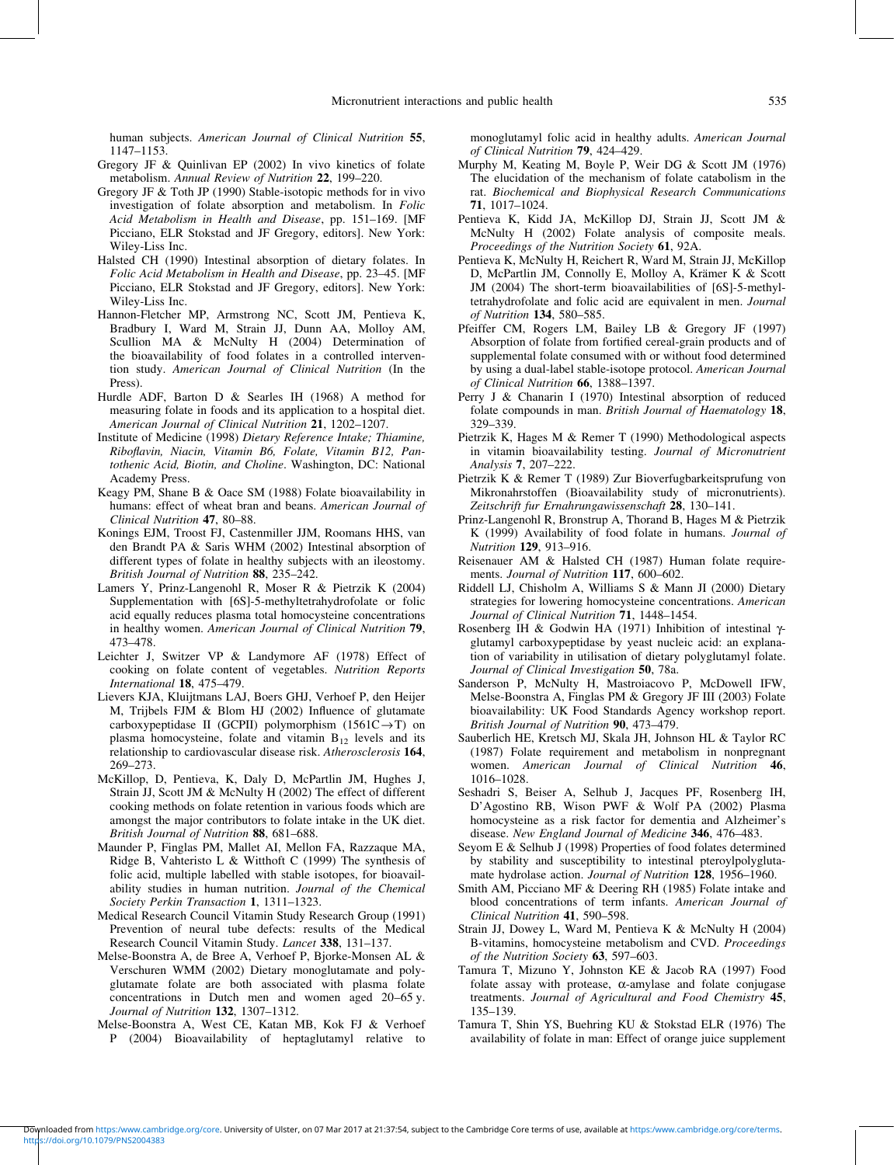human subjects. American Journal of Clinical Nutrition 55, 1147–1153.

- Gregory JF & Quinlivan EP (2002) In vivo kinetics of folate metabolism. Annual Review of Nutrition 22, 199–220.
- Gregory JF & Toth JP (1990) Stable-isotopic methods for in vivo investigation of folate absorption and metabolism. In Folic Acid Metabolism in Health and Disease, pp. 151–169. [MF Picciano, ELR Stokstad and JF Gregory, editors]. New York: Wiley-Liss Inc.
- Halsted CH (1990) Intestinal absorption of dietary folates. In Folic Acid Metabolism in Health and Disease, pp. 23–45. [MF Picciano, ELR Stokstad and JF Gregory, editors]. New York: Wiley-Liss Inc.
- Hannon-Fletcher MP, Armstrong NC, Scott JM, Pentieva K, Bradbury I, Ward M, Strain JJ, Dunn AA, Molloy AM, Scullion MA & McNulty H (2004) Determination of the bioavailability of food folates in a controlled intervention study. American Journal of Clinical Nutrition (In the Press).
- Hurdle ADF, Barton D & Searles IH (1968) A method for measuring folate in foods and its application to a hospital diet. American Journal of Clinical Nutrition 21, 1202–1207.
- Institute of Medicine (1998) Dietary Reference Intake; Thiamine, Riboflavin, Niacin, Vitamin B6, Folate, Vitamin B12, Pantothenic Acid, Biotin, and Choline. Washington, DC: National Academy Press.
- Keagy PM, Shane B & Oace SM (1988) Folate bioavailability in humans: effect of wheat bran and beans. American Journal of Clinical Nutrition 47, 80–88.
- Konings EJM, Troost FJ, Castenmiller JJM, Roomans HHS, van den Brandt PA & Saris WHM (2002) Intestinal absorption of different types of folate in healthy subjects with an ileostomy. British Journal of Nutrition 88, 235–242.
- Lamers Y, Prinz-Langenohl R, Moser R & Pietrzik K (2004) Supplementation with [6S]-5-methyltetrahydrofolate or folic acid equally reduces plasma total homocysteine concentrations in healthy women. American Journal of Clinical Nutrition 79, 473–478.
- Leichter J, Switzer VP & Landymore AF (1978) Effect of cooking on folate content of vegetables. Nutrition Reports International 18, 475–479.
- Lievers KJA, Kluijtmans LAJ, Boers GHJ, Verhoef P, den Heijer M, Trijbels FJM & Blom HJ (2002) Influence of glutamate carboxypeptidase II (GCPII) polymorphism  $(1561C \rightarrow T)$  on plasma homocysteine, folate and vitamin  $B_{12}$  levels and its relationship to cardiovascular disease risk. Atherosclerosis 164, 269–273.
- McKillop, D, Pentieva, K, Daly D, McPartlin JM, Hughes J, Strain JJ, Scott JM & McNulty H (2002) The effect of different cooking methods on folate retention in various foods which are amongst the major contributors to folate intake in the UK diet. British Journal of Nutrition 88, 681–688.
- Maunder P, Finglas PM, Mallet AI, Mellon FA, Razzaque MA, Ridge B, Vahteristo L & Witthoft C (1999) The synthesis of folic acid, multiple labelled with stable isotopes, for bioavailability studies in human nutrition. Journal of the Chemical Society Perkin Transaction 1, 1311–1323.
- Medical Research Council Vitamin Study Research Group (1991) Prevention of neural tube defects: results of the Medical Research Council Vitamin Study. Lancet 338, 131–137.
- Melse-Boonstra A, de Bree A, Verhoef P, Bjorke-Monsen AL & Verschuren WMM (2002) Dietary monoglutamate and polyglutamate folate are both associated with plasma folate concentrations in Dutch men and women aged 20–65 y. Journal of Nutrition 132, 1307–1312.
- Melse-Boonstra A, West CE, Katan MB, Kok FJ & Verhoef P (2004) Bioavailability of heptaglutamyl relative to

monoglutamyl folic acid in healthy adults. American Journal of Clinical Nutrition 79, 424–429.

- Murphy M, Keating M, Boyle P, Weir DG & Scott JM (1976) The elucidation of the mechanism of folate catabolism in the rat. Biochemical and Biophysical Research Communications 71, 1017–1024.
- Pentieva K, Kidd JA, McKillop DJ, Strain JJ, Scott JM & McNulty H (2002) Folate analysis of composite meals. Proceedings of the Nutrition Society 61, 92A.
- Pentieva K, McNulty H, Reichert R, Ward M, Strain JJ, McKillop D, McPartlin JM, Connolly E, Molloy A, Krämer K & Scott JM (2004) The short-term bioavailabilities of [6S]-5-methyltetrahydrofolate and folic acid are equivalent in men. Journal of Nutrition 134, 580–585.
- Pfeiffer CM, Rogers LM, Bailey LB & Gregory JF (1997) Absorption of folate from fortified cereal-grain products and of supplemental folate consumed with or without food determined by using a dual-label stable-isotope protocol. American Journal of Clinical Nutrition 66, 1388–1397.
- Perry J & Chanarin I (1970) Intestinal absorption of reduced folate compounds in man. British Journal of Haematology 18, 329–339.
- Pietrzik K, Hages M & Remer T (1990) Methodological aspects in vitamin bioavailability testing. Journal of Micronutrient Analysis 7, 207–222.
- Pietrzik K & Remer T (1989) Zur Bioverfugbarkeitsprufung von Mikronahrstoffen (Bioavailability study of micronutrients). Zeitschrift fur Ernahrungawissenschaft 28, 130–141.
- Prinz-Langenohl R, Bronstrup A, Thorand B, Hages M & Pietrzik K (1999) Availability of food folate in humans. Journal of Nutrition 129, 913–916.
- Reisenauer AM & Halsted CH (1987) Human folate requirements. Journal of Nutrition 117, 600–602.
- Riddell LJ, Chisholm A, Williams S & Mann JI (2000) Dietary strategies for lowering homocysteine concentrations. American Journal of Clinical Nutrition 71, 1448–1454.
- Rosenberg IH & Godwin HA (1971) Inhibition of intestinal  $\gamma$ glutamyl carboxypeptidase by yeast nucleic acid: an explanation of variability in utilisation of dietary polyglutamyl folate. Journal of Clinical Investigation 50, 78a.
- Sanderson P, McNulty H, Mastroiacovo P, McDowell IFW, Melse-Boonstra A, Finglas PM & Gregory JF III (2003) Folate bioavailability: UK Food Standards Agency workshop report. British Journal of Nutrition 90, 473–479.
- Sauberlich HE, Kretsch MJ, Skala JH, Johnson HL & Taylor RC (1987) Folate requirement and metabolism in nonpregnant women. American Journal of Clinical Nutrition 46, 1016–1028.
- Seshadri S, Beiser A, Selhub J, Jacques PF, Rosenberg IH, D'Agostino RB, Wison PWF & Wolf PA (2002) Plasma homocysteine as a risk factor for dementia and Alzheimer's disease. New England Journal of Medicine 346, 476–483.
- Seyom E & Selhub J (1998) Properties of food folates determined by stability and susceptibility to intestinal pteroylpolyglutamate hydrolase action. Journal of Nutrition 128, 1956–1960.
- Smith AM, Picciano MF & Deering RH (1985) Folate intake and blood concentrations of term infants. American Journal of Clinical Nutrition 41, 590–598.
- Strain JJ, Dowey L, Ward M, Pentieva K & McNulty H (2004) B-vitamins, homocysteine metabolism and CVD. Proceedings of the Nutrition Society 63, 597–603.
- Tamura T, Mizuno Y, Johnston KE & Jacob RA (1997) Food folate assay with protease,  $\alpha$ -amylase and folate conjugase treatments. Journal of Agricultural and Food Chemistry 45, 135–139.
- Tamura T, Shin YS, Buehring KU & Stokstad ELR (1976) The availability of folate in man: Effect of orange juice supplement